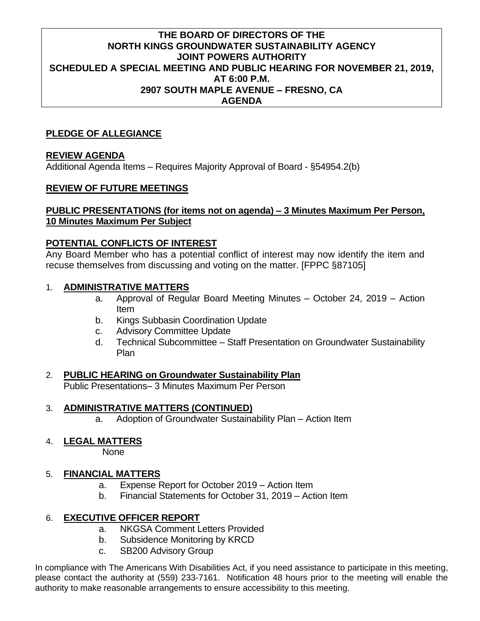#### **THE BOARD OF DIRECTORS OF THE NORTH KINGS GROUNDWATER SUSTAINABILITY AGENCY JOINT POWERS AUTHORITY SCHEDULED A SPECIAL MEETING AND PUBLIC HEARING FOR NOVEMBER 21, 2019, AT 6:00 P.M. 2907 SOUTH MAPLE AVENUE – FRESNO, CA AGENDA**

### **PLEDGE OF ALLEGIANCE**

### **REVIEW AGENDA**

Additional Agenda Items – Requires Majority Approval of Board - §54954.2(b)

#### **REVIEW OF FUTURE MEETINGS**

## **PUBLIC PRESENTATIONS (for items not on agenda) – 3 Minutes Maximum Per Person, 10 Minutes Maximum Per Subject**

#### **POTENTIAL CONFLICTS OF INTEREST**

Any Board Member who has a potential conflict of interest may now identify the item and recuse themselves from discussing and voting on the matter. [FPPC §87105]

#### 1. **ADMINISTRATIVE MATTERS**

- a. Approval of Regular Board Meeting Minutes October 24, 2019 Action Item
- b. Kings Subbasin Coordination Update
- c. Advisory Committee Update
- d. Technical Subcommittee Staff Presentation on Groundwater Sustainability Plan

# 2. **PUBLIC HEARING on Groundwater Sustainability Plan**

Public Presentations– 3 Minutes Maximum Per Person

#### 3. **ADMINISTRATIVE MATTERS (CONTINUED)**

a. Adoption of Groundwater Sustainability Plan – Action Item

#### 4. **LEGAL MATTERS**

None

#### 5. **FINANCIAL MATTERS**

- a. Expense Report for October 2019 Action Item
- b. Financial Statements for October 31, 2019 Action Item

# 6. **EXECUTIVE OFFICER REPORT**

- a. NKGSA Comment Letters Provided
- b. Subsidence Monitoring by KRCD
- c. SB200 Advisory Group

In compliance with The Americans With Disabilities Act, if you need assistance to participate in this meeting, please contact the authority at (559) 233-7161. Notification 48 hours prior to the meeting will enable the authority to make reasonable arrangements to ensure accessibility to this meeting.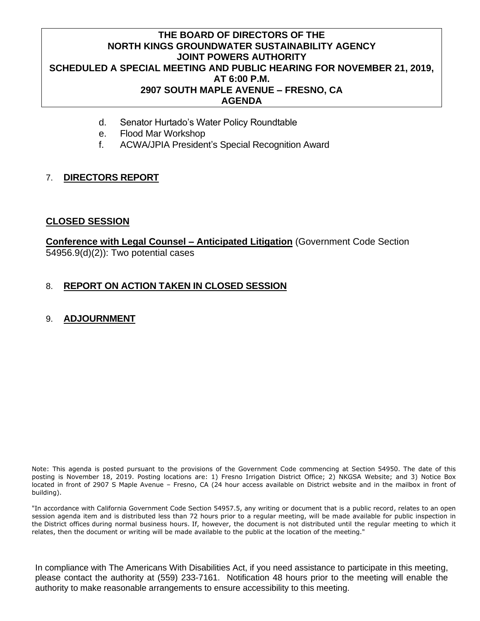#### **THE BOARD OF DIRECTORS OF THE NORTH KINGS GROUNDWATER SUSTAINABILITY AGENCY JOINT POWERS AUTHORITY SCHEDULED A SPECIAL MEETING AND PUBLIC HEARING FOR NOVEMBER 21, 2019, AT 6:00 P.M. 2907 SOUTH MAPLE AVENUE – FRESNO, CA AGENDA**

- d. Senator Hurtado's Water Policy Roundtable
- e. Flood Mar Workshop
- f. ACWA/JPIA President's Special Recognition Award

## 7. **DIRECTORS REPORT**

#### **CLOSED SESSION**

**Conference with Legal Counsel – Anticipated Litigation** (Government Code Section 54956.9(d)(2)): Two potential cases

#### 8. **REPORT ON ACTION TAKEN IN CLOSED SESSION**

#### 9. **ADJOURNMENT**

Note: This agenda is posted pursuant to the provisions of the Government Code commencing at Section 54950. The date of this posting is November 18, 2019. Posting locations are: 1) Fresno Irrigation District Office; 2) NKGSA Website; and 3) Notice Box located in front of 2907 S Maple Avenue – Fresno, CA (24 hour access available on District website and in the mailbox in front of building).

"In accordance with California Government Code Section 54957.5, any writing or document that is a public record, relates to an open session agenda item and is distributed less than 72 hours prior to a regular meeting, will be made available for public inspection in the District offices during normal business hours. If, however, the document is not distributed until the regular meeting to which it relates, then the document or writing will be made available to the public at the location of the meeting."

In compliance with The Americans With Disabilities Act, if you need assistance to participate in this meeting, please contact the authority at (559) 233-7161. Notification 48 hours prior to the meeting will enable the authority to make reasonable arrangements to ensure accessibility to this meeting.